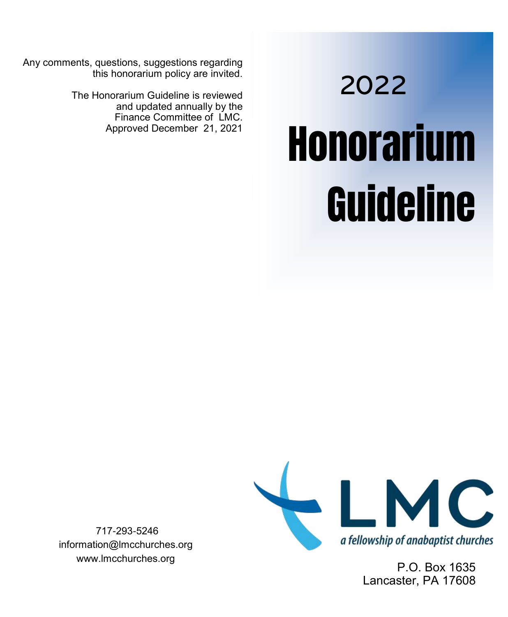Any comments, questions, suggestions regarding this honorarium policy are invited.

> The Honorarium Guideline is reviewed and updated annually by the Finance Committee of LMC.<br>Approved December 21, 2021

# **Honorarium** Guideline 2022



P.O. Box 1635 Lancaster, PA 17608

717-293-5246 information@lmcchurches.org www.lmcchurches.org